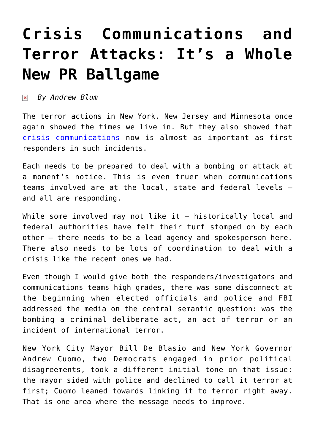## **[Crisis Communications and](https://www.commpro.biz/crisis-communications-and-terror-attacks/) [Terror Attacks: It's a Whole](https://www.commpro.biz/crisis-communications-and-terror-attacks/) [New PR Ballgame](https://www.commpro.biz/crisis-communications-and-terror-attacks/)**

*By Andrew Blum*

The terror actions in New York, New Jersey and Minnesota once again showed the times we live in. But they also showed that [crisis communications](https://www.commpro.biz/?s=crisis+communications) now is almost as important as first responders in such incidents.

Each needs to be prepared to deal with a bombing or attack at a moment's notice. This is even truer when communications teams involved are at the local, state and federal levels – and all are responding.

While some involved may not like it - historically local and federal authorities have felt their turf stomped on by each other — there needs to be a lead agency and spokesperson here. There also needs to be lots of coordination to deal with a crisis like the recent ones we had.

Even though I would give both the responders/investigators and communications teams high grades, there was some disconnect at the beginning when elected officials and police and FBI addressed the media on the central semantic question: was the bombing a criminal deliberate act, an act of terror or an incident of international terror.

New York City Mayor Bill De Blasio and New York Governor Andrew Cuomo, two Democrats engaged in prior political disagreements, took a different initial tone on that issue: the mayor sided with police and declined to call it terror at first; Cuomo leaned towards linking it to terror right away. That is one area where the message needs to improve.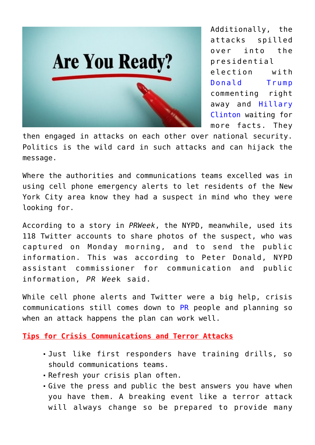

Additionally, the attacks spilled over into the presidential election with [Donald Trump](https://news.google.com/news/section?cf=all&hl=en&pz=1&ned=us&q=Donald%20Trump&topicsid=FRONTPAGE&ict=ln&topicnv=__AB21PFyzQVrTSqpsrcZXL_oNyXJeHmRq3jFJXwFizogzvrcIfSRcbguvTKQpjJ-BHxeuolJfKFZN7lXslGk2qGJM92Fi-QlJWhzSiI6hxdofpRm4yhGWy27Pq303z1km3tXiK-9X9xAtv5EDcoOODvjYq1SNbUUgebKXfhFCqy8zTgVSDGy_3kPVyT50XRyknH-EA6BURe1OP38e6s2h6LRx5R1nvTGFo_sBitH2XyduySvU00lmh8LcLabwGBlgxKbR6Ae8UUXJXGvupiXULG1tI5iCpyueH6du1YEkdOHa6C105r4rKiEesvuExQMdfBTa-ThrTb00U9i7IiJYZCj0gqdjIRVFbf35Sn5co3jXoPBPfNmBVRkJ9rlA6eYYuDeKqLPSQuZUFcV6NaBduwqBmDI1SoUis_XnDlZlmKjMIjM89N9xgbTcIeVgnckJolrAR3tbMRwHrjJseS-2xGwnc11zlRwQetcaj0A-KmdR_xNIz0riVo-Cd-eILAGIj7eQ0TyCJNqsL2042VgyEBrUvuOev41bv_jAsHYOnkiKUPfUF0nNuuMc5nZh0hGE8fJy3lnbi-2SWZsoNa63Al7wxAYx7xflI5lvUkkqqptJWqwnhCPj1MYDuB8SxocePM6aMsySDRhGDSVpmZM98jYV9OGFRH1pvk9ZFpCn5cpBBuwPxZ346j5ZI8X_uYyYU9uRUBflWWbSsg6lEm8DeyShZYutqb21EuesyxpSCJAyGbxcoYqr_E4%3D&siidp=23dc8bf1d606ebc99d7dd3063430f81fa3b2) commenting right away and [Hillary](https://www.google.com/search?hl=en&gl=us&tbm=nws&authuser=0&q=hillary+clinton&oq=hillary+clinton&gs_l=news-cc.3..43j0l9j43i53.6711.8613.0.8860.15.8.0.7.7.0.120.630.7j1.8.0...0.0...1ac.1.1x3iYxxS6os) [Clinton](https://www.google.com/search?hl=en&gl=us&tbm=nws&authuser=0&q=hillary+clinton&oq=hillary+clinton&gs_l=news-cc.3..43j0l9j43i53.6711.8613.0.8860.15.8.0.7.7.0.120.630.7j1.8.0...0.0...1ac.1.1x3iYxxS6os) waiting for more facts. They

then engaged in attacks on each other over national security. Politics is the wild card in such attacks and can hijack the message.

Where the authorities and communications teams excelled was in using cell phone emergency alerts to let residents of the New York City area know they had a suspect in mind who they were looking for.

According to a story in *PRWeek*, the NYPD, meanwhile, used its 118 Twitter accounts to share photos of the suspect, who was captured on Monday morning, and to send the public information. This was according to Peter Donald, NYPD assistant commissioner for communication and public information, *PR Wee*k said.

While cell phone alerts and Twitter were a big help, crisis communications still comes down to [PR](https://www.commpro.biz/public-relations-section/) people and planning so when an attack happens the plan can work well.

**Tips for Crisis Communications and Terror Attacks**

- Just like first responders have training drills, so should communications teams.
- Refresh your crisis plan often.
- Give the press and public the best answers you have when you have them. A breaking event like a terror attack will always change so be prepared to provide many